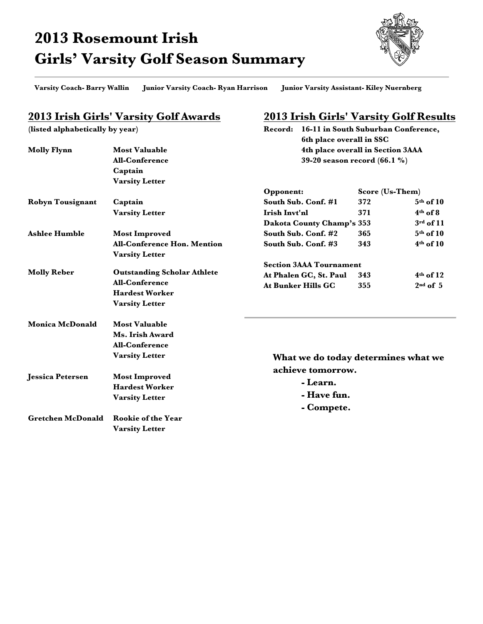## **2013 Rosemount Irish Girls' Varsity Golf Season Summary**



**Varsity Coach- Barry Wallin Junior Varsity Coach- Ryan Harrison Junior Varsity Assistant- Kiley Nuernberg**

## **2013 Irish Girls' Varsity Golf Awards**

**(listed alphabetically by year)**

## **2013 Irish Girls' Varsity Golf Results**

**Record: 16-11 in South Suburban Conference,** 

|                          |                                    | 6th place overall in SSC            |                 |               |  |  |
|--------------------------|------------------------------------|-------------------------------------|-----------------|---------------|--|--|
| <b>Molly Flynn</b>       | <b>Most Valuable</b>               | 4th place overall in Section 3AAA   |                 |               |  |  |
|                          | <b>All-Conference</b>              | 39-20 season record (66.1 %)        |                 |               |  |  |
|                          | Captain                            |                                     |                 |               |  |  |
|                          | <b>Varsity Letter</b>              |                                     |                 |               |  |  |
|                          |                                    | Opponent:                           | Score (Us-Them) |               |  |  |
| Robyn Tousignant         | Captain                            | South Sub. Conf. #1                 | 372             | $5th$ of 10   |  |  |
|                          | <b>Varsity Letter</b>              | Irish Invt'nl                       | 371             | $4th$ of 8    |  |  |
|                          |                                    | Dakota County Champ's 353           |                 | $3rd$ of $11$ |  |  |
| <b>Ashlee Humble</b>     | <b>Most Improved</b>               | South Sub. Conf. #2                 | 365             | $5th$ of 10   |  |  |
|                          | <b>All-Conference Hon. Mention</b> | South Sub. Conf. #3                 | 343             | $4th$ of 10   |  |  |
|                          | <b>Varsity Letter</b>              |                                     |                 |               |  |  |
| <b>Molly Reber</b>       |                                    | <b>Section 3AAA Tournament</b>      |                 |               |  |  |
|                          | <b>Outstanding Scholar Athlete</b> | At Phalen GC, St. Paul              | 343             | $4th$ of 12   |  |  |
|                          | <b>All-Conference</b>              | <b>At Bunker Hills GC</b>           | 355             | $2nd$ of 5    |  |  |
|                          | <b>Hardest Worker</b>              |                                     |                 |               |  |  |
|                          | <b>Varsity Letter</b>              |                                     |                 |               |  |  |
| Monica McDonald          | <b>Most Valuable</b>               |                                     |                 |               |  |  |
|                          | Ms. Irish Award                    |                                     |                 |               |  |  |
|                          | <b>All-Conference</b>              |                                     |                 |               |  |  |
|                          | <b>Varsity Letter</b>              | What we do today determines what we |                 |               |  |  |
|                          |                                    | achieve tomorrow.                   |                 |               |  |  |
| <b>Jessica Petersen</b>  | <b>Most Improved</b>               |                                     |                 |               |  |  |
|                          | <b>Hardest Worker</b>              | - Learn.<br>- Have fun.             |                 |               |  |  |
|                          | <b>Varsity Letter</b>              |                                     |                 |               |  |  |
|                          |                                    | - Compete.                          |                 |               |  |  |
| <b>Gretchen McDonald</b> | <b>Rookie of the Year</b>          |                                     |                 |               |  |  |
|                          | <b>Varsity Letter</b>              |                                     |                 |               |  |  |